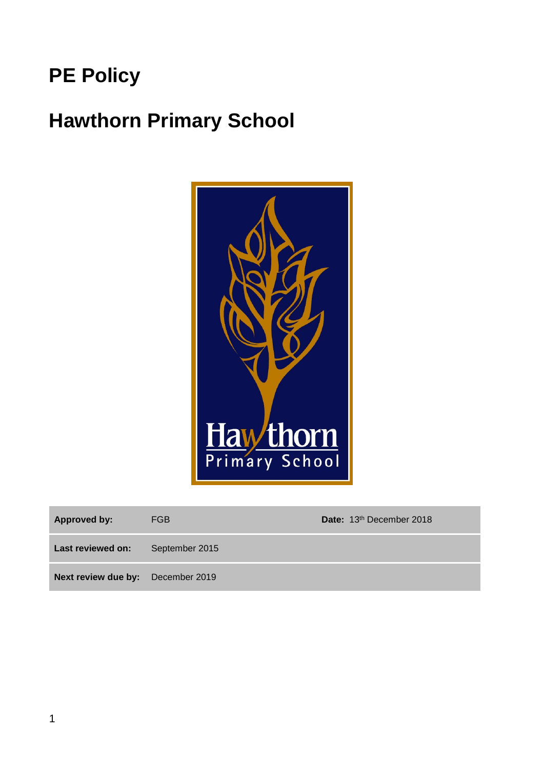# **PE Policy**

# **Hawthorn Primary School**



| Approved by:                      | FGB            | Date: 13th December 2018 |
|-----------------------------------|----------------|--------------------------|
| Last reviewed on:                 | September 2015 |                          |
| Next review due by: December 2019 |                |                          |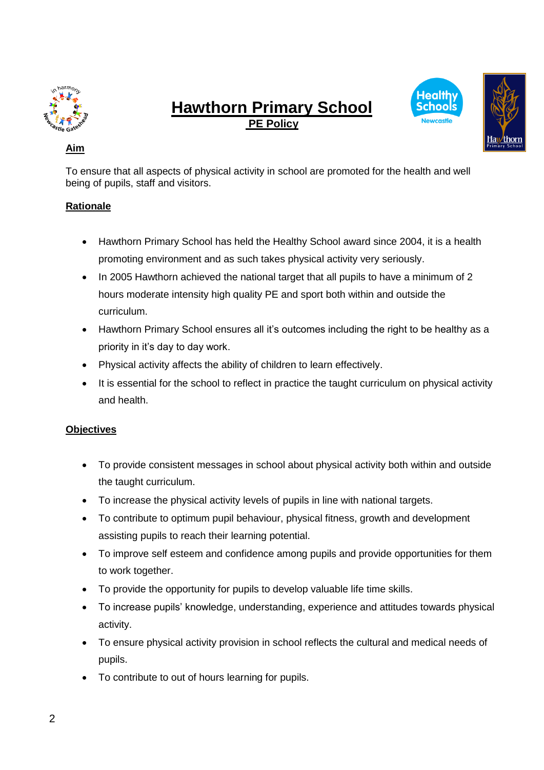

# **Hawthorn Primary School PE Policy**





## **Aim**

To ensure that all aspects of physical activity in school are promoted for the health and well being of pupils, staff and visitors.

### **Rationale**

- Hawthorn Primary School has held the Healthy School award since 2004, it is a health promoting environment and as such takes physical activity very seriously.
- In 2005 Hawthorn achieved the national target that all pupils to have a minimum of 2 hours moderate intensity high quality PE and sport both within and outside the curriculum.
- Hawthorn Primary School ensures all it's outcomes including the right to be healthy as a priority in it's day to day work.
- Physical activity affects the ability of children to learn effectively.
- It is essential for the school to reflect in practice the taught curriculum on physical activity and health.

### **Objectives**

- To provide consistent messages in school about physical activity both within and outside the taught curriculum.
- To increase the physical activity levels of pupils in line with national targets.
- To contribute to optimum pupil behaviour, physical fitness, growth and development assisting pupils to reach their learning potential.
- To improve self esteem and confidence among pupils and provide opportunities for them to work together.
- To provide the opportunity for pupils to develop valuable life time skills.
- To increase pupils' knowledge, understanding, experience and attitudes towards physical activity.
- To ensure physical activity provision in school reflects the cultural and medical needs of pupils.
- To contribute to out of hours learning for pupils.